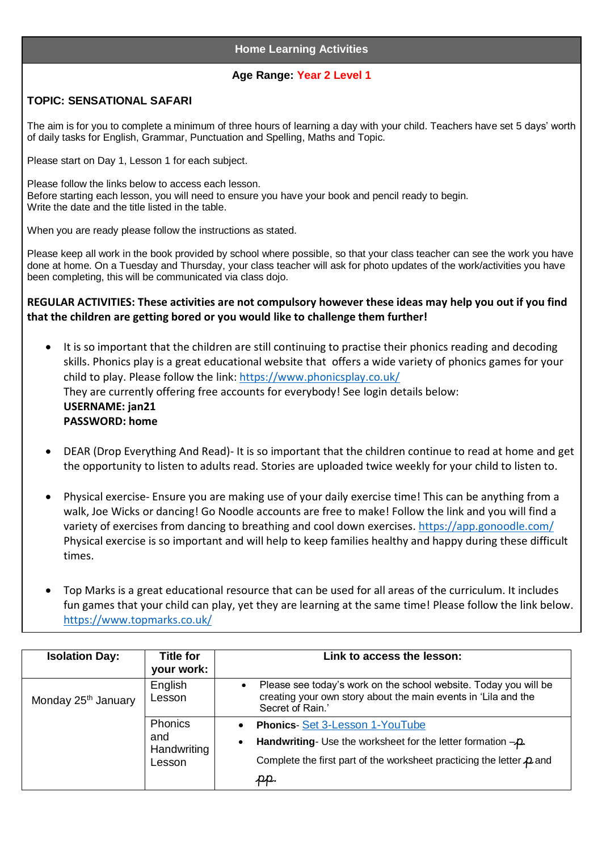## **Home Learning Activities**

## **Age Range: Year 2 Level 1**

## **TOPIC: SENSATIONAL SAFARI**

The aim is for you to complete a minimum of three hours of learning a day with your child. Teachers have set 5 days' worth of daily tasks for English, Grammar, Punctuation and Spelling, Maths and Topic.

Please start on Day 1, Lesson 1 for each subject.

Please follow the links below to access each lesson. Before starting each lesson, you will need to ensure you have your book and pencil ready to begin. Write the date and the title listed in the table.

When you are ready please follow the instructions as stated.

Please keep all work in the book provided by school where possible, so that your class teacher can see the work you have done at home. On a Tuesday and Thursday, your class teacher will ask for photo updates of the work/activities you have been completing, this will be communicated via class dojo.

**REGULAR ACTIVITIES: These activities are not compulsory however these ideas may help you out if you find that the children are getting bored or you would like to challenge them further!**

- It is so important that the children are still continuing to practise their phonics reading and decoding skills. Phonics play is a great educational website that offers a wide variety of phonics games for your child to play. Please follow the link:<https://www.phonicsplay.co.uk/> They are currently offering free accounts for everybody! See login details below: **USERNAME: jan21 PASSWORD: home**
- DEAR (Drop Everything And Read)- It is so important that the children continue to read at home and get the opportunity to listen to adults read. Stories are uploaded twice weekly for your child to listen to.
- Physical exercise- Ensure you are making use of your daily exercise time! This can be anything from a walk, Joe Wicks or dancing! Go Noodle accounts are free to make! Follow the link and you will find a variety of exercises from dancing to breathing and cool down exercises.<https://app.gonoodle.com/> Physical exercise is so important and will help to keep families healthy and happy during these difficult times.
- Top Marks is a great educational resource that can be used for all areas of the curriculum. It includes fun games that your child can play, yet they are learning at the same time! Please follow the link below. <https://www.topmarks.co.uk/>

| <b>Isolation Day:</b>           | <b>Title for</b><br>your work:          | Link to access the lesson:                                                                                                                                                                                                      |
|---------------------------------|-----------------------------------------|---------------------------------------------------------------------------------------------------------------------------------------------------------------------------------------------------------------------------------|
| Monday 25 <sup>th</sup> January | English<br>Lesson                       | Please see today's work on the school website. Today you will be<br>creating your own story about the main events in 'Lila and the<br>Secret of Rain.'                                                                          |
|                                 | Phonics<br>and<br>Handwriting<br>Lesson | <b>Phonics-Set 3-Lesson 1-YouTube</b><br>Handwriting- Use the worksheet for the letter formation $-\rho$ .<br>$\bullet$<br>Complete the first part of the worksheet practicing the letter $\boldsymbol{\mathcal{P}}$ and<br>pp. |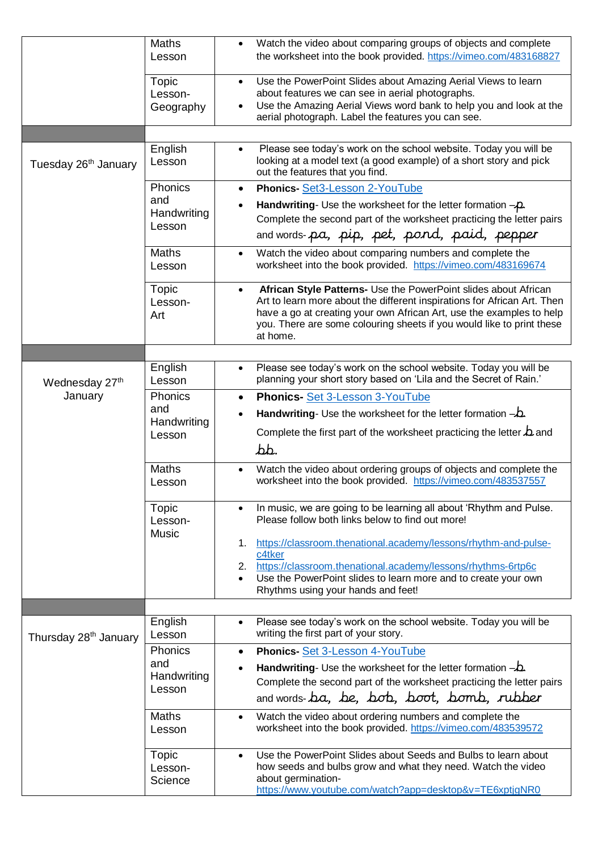|                                   | Maths<br>Lesson                         | Watch the video about comparing groups of objects and complete<br>$\bullet$<br>the worksheet into the book provided. https://vimeo.com/483168827                                                                                                                                                                      |
|-----------------------------------|-----------------------------------------|-----------------------------------------------------------------------------------------------------------------------------------------------------------------------------------------------------------------------------------------------------------------------------------------------------------------------|
|                                   | Topic<br>Lesson-<br>Geography           | Use the PowerPoint Slides about Amazing Aerial Views to learn<br>$\bullet$<br>about features we can see in aerial photographs.<br>Use the Amazing Aerial Views word bank to help you and look at the<br>aerial photograph. Label the features you can see.                                                            |
|                                   |                                         |                                                                                                                                                                                                                                                                                                                       |
| Tuesday 26 <sup>th</sup> January  | English<br>Lesson                       | Please see today's work on the school website. Today you will be<br>$\bullet$<br>looking at a model text (a good example) of a short story and pick<br>out the features that you find.                                                                                                                                |
|                                   | Phonics<br>and<br>Handwriting<br>Lesson | Phonics-Set3-Lesson 2-YouTube<br>$\bullet$<br>Handwriting- Use the worksheet for the letter formation $-\rho$ .<br>Complete the second part of the worksheet practicing the letter pairs<br>and words-pa, pip, pet, pond, paid, pepper                                                                                |
|                                   | Maths<br>Lesson                         | Watch the video about comparing numbers and complete the<br>$\bullet$<br>worksheet into the book provided. https://vimeo.com/483169674                                                                                                                                                                                |
|                                   | <b>Topic</b><br>Lesson-<br>Art          | African Style Patterns- Use the PowerPoint slides about African<br>$\bullet$<br>Art to learn more about the different inspirations for African Art. Then<br>have a go at creating your own African Art, use the examples to help<br>you. There are some colouring sheets if you would like to print these<br>at home. |
|                                   |                                         |                                                                                                                                                                                                                                                                                                                       |
| Wednesday 27 <sup>th</sup>        | English<br>Lesson                       | Please see today's work on the school website. Today you will be<br>$\bullet$<br>planning your short story based on 'Lila and the Secret of Rain.'                                                                                                                                                                    |
| January                           | Phonics                                 | Phonics-Set 3-Lesson 3-YouTube<br>$\bullet$                                                                                                                                                                                                                                                                           |
|                                   | and<br>Handwriting<br>Lesson            | Handwriting- Use the worksheet for the letter formation $-\Delta$ .                                                                                                                                                                                                                                                   |
|                                   |                                         | Complete the first part of the worksheet practicing the letter $\Delta$ and<br>bb.                                                                                                                                                                                                                                    |
|                                   | <b>Maths</b><br>Lesson                  | Watch the video about ordering groups of objects and complete the<br>worksheet into the book provided. https://vimeo.com/483537557                                                                                                                                                                                    |
|                                   | Topic<br>Lesson-<br><b>Music</b>        | In music, we are going to be learning all about 'Rhythm and Pulse.<br>Please follow both links below to find out more!                                                                                                                                                                                                |
|                                   |                                         | https://classroom.thenational.academy/lessons/rhythm-and-pulse-<br>1.<br>c4tker<br>2. https://classroom.thenational.academy/lessons/rhythms-6rtp6c<br>Use the PowerPoint slides to learn more and to create your own<br>$\bullet$<br>Rhythms using your hands and feet!                                               |
|                                   |                                         |                                                                                                                                                                                                                                                                                                                       |
| Thursday 28 <sup>th</sup> January | English<br>Lesson                       | Please see today's work on the school website. Today you will be<br>$\bullet$<br>writing the first part of your story.                                                                                                                                                                                                |
|                                   | Phonics                                 | Phonics-Set 3-Lesson 4-YouTube<br>$\bullet$                                                                                                                                                                                                                                                                           |
|                                   | and<br>Handwriting<br>Lesson            | <b>Handwriting-</b> Use the worksheet for the letter formation $-\mathbf{L}$ .<br>Complete the second part of the worksheet practicing the letter pairs<br>and words-ba, be, bob, boot, bomb, rubber                                                                                                                  |
|                                   | <b>Maths</b><br>Lesson                  | Watch the video about ordering numbers and complete the<br>$\bullet$<br>worksheet into the book provided. https://vimeo.com/483539572                                                                                                                                                                                 |
|                                   | Topic<br>Lesson-<br>Science             | Use the PowerPoint Slides about Seeds and Bulbs to learn about<br>$\bullet$<br>how seeds and bulbs grow and what they need. Watch the video<br>about germination-<br>https://www.youtube.com/watch?app=desktop&v=TE6xptjgNR0                                                                                          |